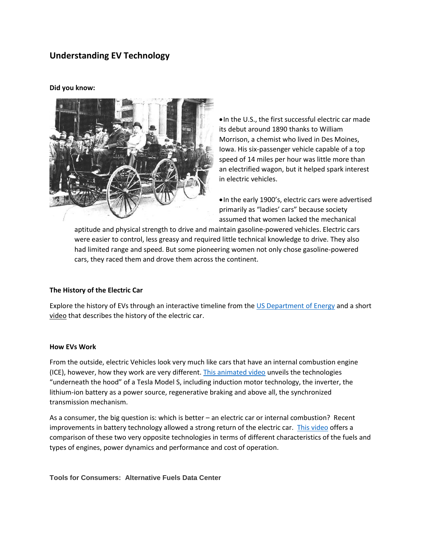## **Understanding EV Technology**

**Did you know:**



•In the U.S., the first successful electric car made its debut around 1890 thanks to William Morrison, a chemist who lived in Des Moines, Iowa. His six-passenger vehicle capable of a top speed of 14 miles per hour was little more than an electrified wagon, but it helped spark interest in electric vehicles.

•In the early 1900's, electric cars were advertised primarily as "ladies' cars" because society assumed that women lacked the mechanical

aptitude and physical strength to drive and maintain gasoline-powered vehicles. Electric cars were easier to control, less greasy and required little technical knowledge to drive. They also had limited range and speed. But some pioneering women not only chose gasoline-powered cars, they raced them and drove them across the continent.

## **The History of the Electric Car**

Explore the history of EVs through an interactive timeline from the [US Department of Energy](https://www.energy.gov/articles/history-electric-car) and a short [video](https://www.youtube.com/watch?v=XlMFLPGUiQE&feature=youtu.be) that describes the history of the electric car.

## **How EVs Work**

From the outside, electric Vehicles look very much like cars that have an internal combustion engine (ICE), however, how they work are very different. [This animated video](https://www.youtube.com/watch?v=3SAxXUIre28&feature=youtu.be) unveils the technologies "underneath the hood" of a Tesla Model S, including induction motor technology, the inverter, the lithium-ion battery as a power source, regenerative braking and above all, the synchronized transmission mechanism.

As a consumer, the big question is: which is better – an electric car or internal combustion? Recent improvements in battery technology allowed a strong return of the electric car. [This video](https://www.youtube.com/watch?v=ewcWN-rHQ6Q&feature=youtu.be) offers a comparison of these two very opposite technologies in terms of different characteristics of the fuels and types of engines, power dynamics and performance and cost of operation.

**Tools for Consumers: Alternative Fuels Data Center**